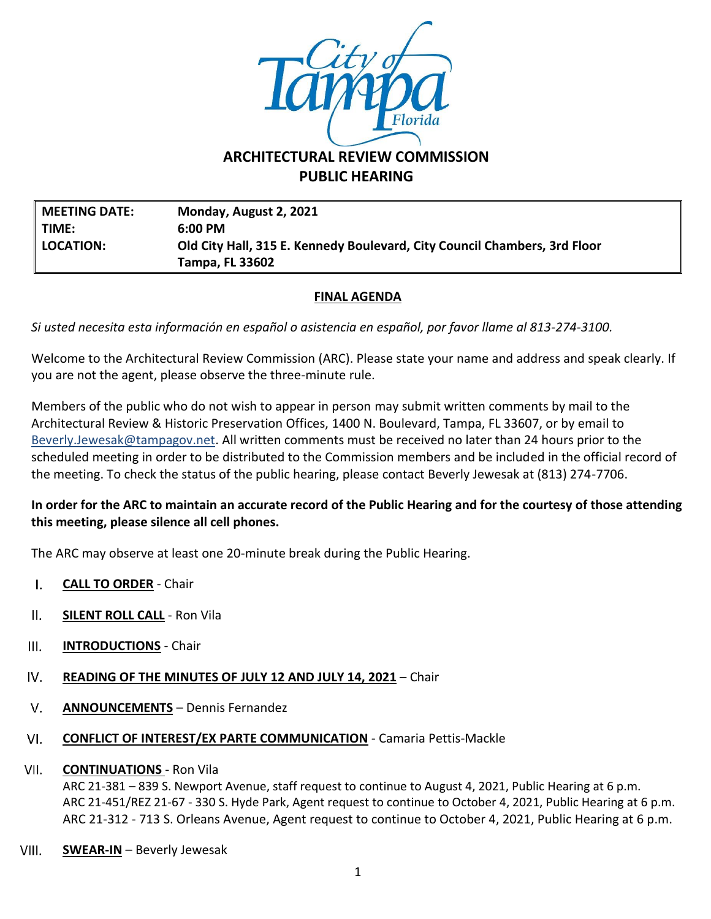

# **ARCHITECTURAL REVIEW COMMISSION PUBLIC HEARING**

**MEETING DATE: Monday, August 2, 2021 TIME: 6:00 PM LOCATION: Old City Hall, 315 E. Kennedy Boulevard, City Council Chambers, 3rd Floor Tampa, FL 33602**

## **FINAL AGENDA**

*Si usted necesita esta información en español o asistencia en español, por favor llame al 813-274-3100.*

Welcome to the Architectural Review Commission (ARC). Please state your name and address and speak clearly. If you are not the agent, please observe the three-minute rule.

Members of the public who do not wish to appear in person may submit written comments by mail to the Architectural Review & Historic Preservation Offices, 1400 N. Boulevard, Tampa, FL 33607, or by email to [Beverly.Jewesak@tampagov.net.](mailto:Beverly.Jewesak@tampagov.net) All written comments must be received no later than 24 hours prior to the scheduled meeting in order to be distributed to the Commission members and be included in the official record of the meeting. To check the status of the public hearing, please contact Beverly Jewesak at (813) 274-7706.

## **In order for the ARC to maintain an accurate record of the Public Hearing and for the courtesy of those attending this meeting, please silence all cell phones.**

The ARC may observe at least one 20-minute break during the Public Hearing.

- **CALL TO ORDER** Chair  $\mathbf{L}$
- $II.$ **SILENT ROLL CALL** - Ron Vila
- $III.$ **INTRODUCTIONS** - Chair
- IV. **READING OF THE MINUTES OF JULY 12 AND JULY 14, 2021** – Chair
- $V_{\rm r}$ **ANNOUNCEMENTS** – Dennis Fernandez
- VI. **CONFLICT OF INTEREST/EX PARTE COMMUNICATION** - Camaria Pettis-Mackle

#### **CONTINUATIONS** - Ron Vila VII.

ARC 21-381 – 839 S. Newport Avenue, staff request to continue to August 4, 2021, Public Hearing at 6 p.m. ARC 21-451/REZ 21-67 - 330 S. Hyde Park, Agent request to continue to October 4, 2021, Public Hearing at 6 p.m. ARC 21-312 - 713 S. Orleans Avenue, Agent request to continue to October 4, 2021, Public Hearing at 6 p.m.

VIII. **SWEAR-IN** – Beverly Jewesak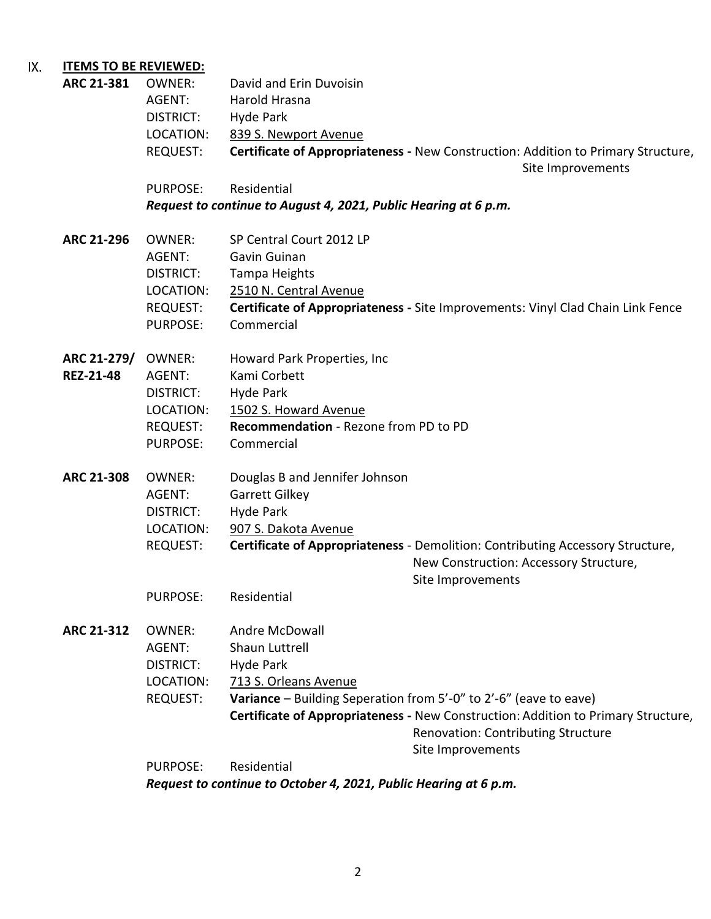### IX. **ITEMS TO BE REVIEWED:**

| ARC 21-381        | <b>OWNER:</b>    | David and Erin Duvoisin                                                           |
|-------------------|------------------|-----------------------------------------------------------------------------------|
|                   | AGENT:           | Harold Hrasna                                                                     |
|                   | <b>DISTRICT:</b> | Hyde Park                                                                         |
|                   | LOCATION:        | 839 S. Newport Avenue                                                             |
|                   | <b>REQUEST:</b>  | Certificate of Appropriateness - New Construction: Addition to Primary Structure, |
|                   |                  | Site Improvements                                                                 |
|                   | <b>PURPOSE:</b>  | Residential                                                                       |
|                   |                  | Request to continue to August 4, 2021, Public Hearing at 6 p.m.                   |
| ARC 21-296        | <b>OWNER:</b>    | SP Central Court 2012 LP                                                          |
|                   | AGENT:           | Gavin Guinan                                                                      |
|                   | DISTRICT:        | Tampa Heights                                                                     |
|                   | LOCATION:        | 2510 N. Central Avenue                                                            |
|                   | REQUEST:         | Certificate of Appropriateness - Site Improvements: Vinyl Clad Chain Link Fence   |
|                   | PURPOSE:         | Commercial                                                                        |
|                   |                  |                                                                                   |
| ARC 21-279/       | OWNER:           | Howard Park Properties, Inc.                                                      |
| <b>REZ-21-48</b>  | AGENT:           | Kami Corbett                                                                      |
|                   | DISTRICT:        | Hyde Park                                                                         |
|                   | LOCATION:        | 1502 S. Howard Avenue                                                             |
|                   | <b>REQUEST:</b>  | Recommendation - Rezone from PD to PD                                             |
|                   | PURPOSE:         | Commercial                                                                        |
| <b>ARC 21-308</b> | <b>OWNER:</b>    | Douglas B and Jennifer Johnson                                                    |
|                   | AGENT:           | Garrett Gilkey                                                                    |
|                   | <b>DISTRICT:</b> | Hyde Park                                                                         |
|                   | LOCATION:        | 907 S. Dakota Avenue                                                              |
|                   | <b>REQUEST:</b>  | Certificate of Appropriateness - Demolition: Contributing Accessory Structure,    |
|                   |                  | New Construction: Accessory Structure,                                            |
|                   |                  | Site Improvements                                                                 |
|                   | PURPOSE:         | Residential                                                                       |
|                   |                  |                                                                                   |
| <b>ARC 21-312</b> | <b>OWNER:</b>    | Andre McDowall                                                                    |
|                   | AGENT:           | Shaun Luttrell                                                                    |
|                   | DISTRICT:        | Hyde Park                                                                         |
|                   | LOCATION:        | 713 S. Orleans Avenue                                                             |
|                   | <b>REQUEST:</b>  | <b>Variance</b> – Building Seperation from $5'-0''$ to $2'-6''$ (eave to eave)    |
|                   |                  | Certificate of Appropriateness - New Construction: Addition to Primary Structure, |
|                   |                  | <b>Renovation: Contributing Structure</b>                                         |
|                   |                  | Site Improvements                                                                 |
|                   | <b>PURPOSE:</b>  | Residential                                                                       |
|                   |                  |                                                                                   |

*Request to continue to October 4, 2021, Public Hearing at 6 p.m.*